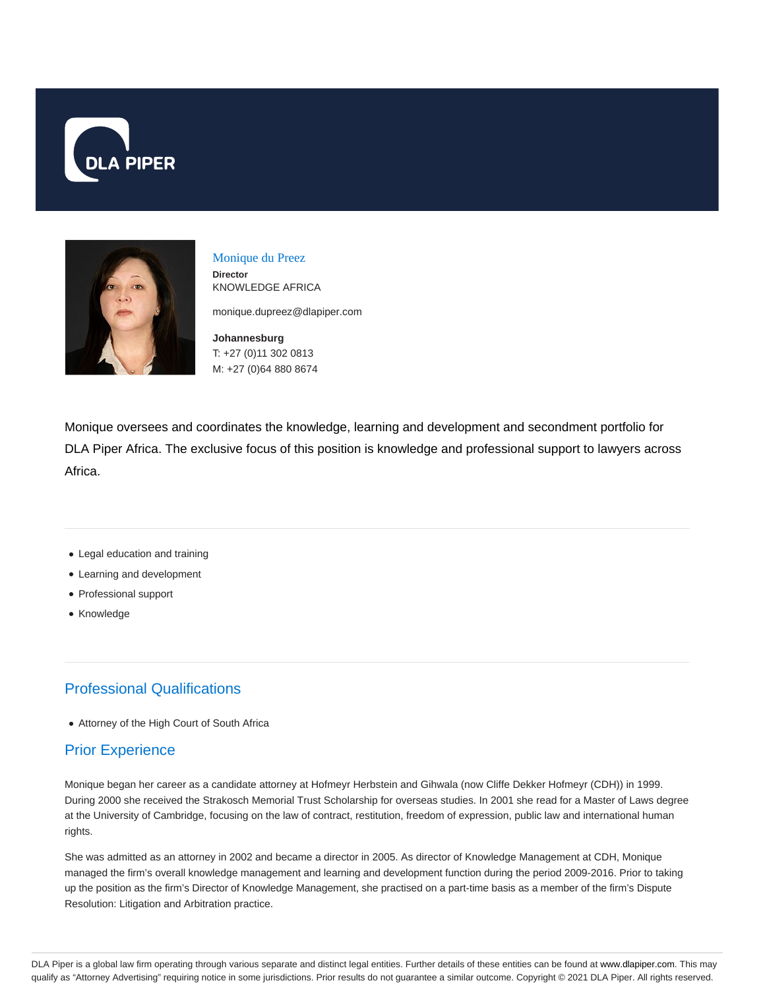



#### Monique du Preez **Director** KNOWLEDGE AFRICA

monique.dupreez@dlapiper.com

**Johannesburg** T: +27 (0)11 302 0813 M: +27 (0)64 880 8674

Monique oversees and coordinates the knowledge, learning and development and secondment portfolio for DLA Piper Africa. The exclusive focus of this position is knowledge and professional support to lawyers across Africa.

- Legal education and training
- Learning and development
- Professional support
- Knowledge

# Professional Qualifications

Attorney of the High Court of South Africa

## Prior Experience

Monique began her career as a candidate attorney at Hofmeyr Herbstein and Gihwala (now Cliffe Dekker Hofmeyr (CDH)) in 1999. During 2000 she received the Strakosch Memorial Trust Scholarship for overseas studies. In 2001 she read for a Master of Laws degree at the University of Cambridge, focusing on the law of contract, restitution, freedom of expression, public law and international human rights.

She was admitted as an attorney in 2002 and became a director in 2005. As director of Knowledge Management at CDH, Monique managed the firm's overall knowledge management and learning and development function during the period 2009-2016. Prior to taking up the position as the firm's Director of Knowledge Management, she practised on a part-time basis as a member of the firm's Dispute Resolution: Litigation and Arbitration practice.

DLA Piper is a global law firm operating through various separate and distinct legal entities. Further details of these entities can be found at www.dlapiper.com. This may qualify as "Attorney Advertising" requiring notice in some jurisdictions. Prior results do not guarantee a similar outcome. Copyright @ 2021 DLA Piper. All rights reserved.